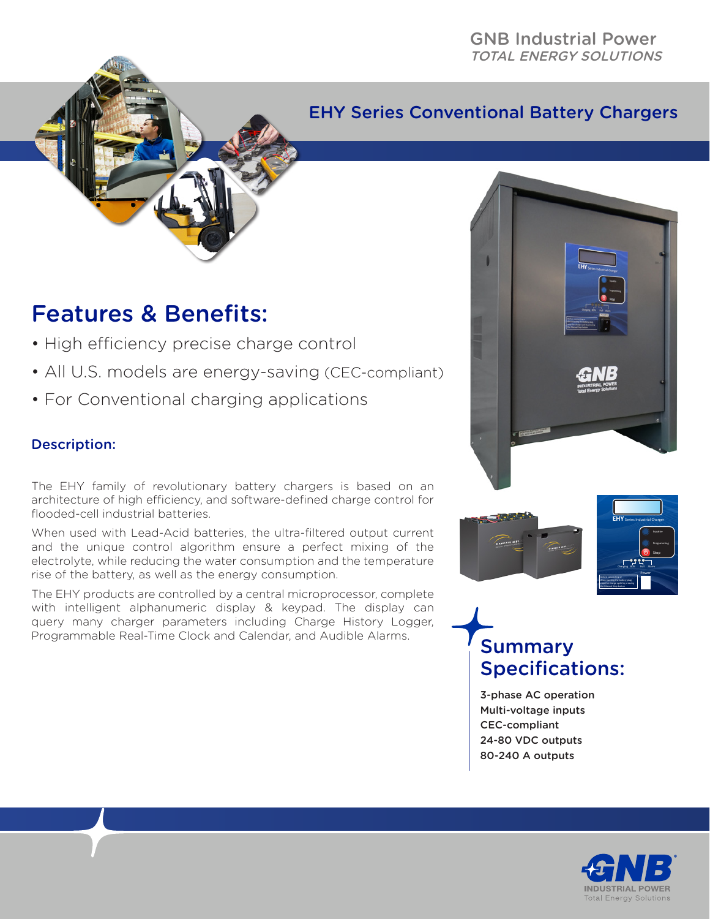### EHY Series Conventional Battery Chargers

## Features & Benefits:

- High efficiency precise charge control
- All U.S. models are energy-saving (CEC-compliant)
- For Conventional charging applications

#### Description:

The EHY family of revolutionary battery chargers is based on an architecture of high efficiency, and software-defined charge control for flooded-cell industrial batteries.

When used with Lead-Acid batteries, the ultra-filtered output current and the unique control algorithm ensure a perfect mixing of the electrolyte, while reducing the water consumption and the temperature rise of the battery, as well as the energy consumption.

The EHY products are controlled by a central microprocessor, complete with intelligent alphanumeric display & keypad. The display can query many charger parameters including Charge History Logger, Programmable Real-Time Clock and Calendar, and Audible Alarms.







# **Summary** Specifications:

3-phase AC operation Multi-voltage inputs CEC-compliant 24-80 VDC outputs 80-240 A outputs